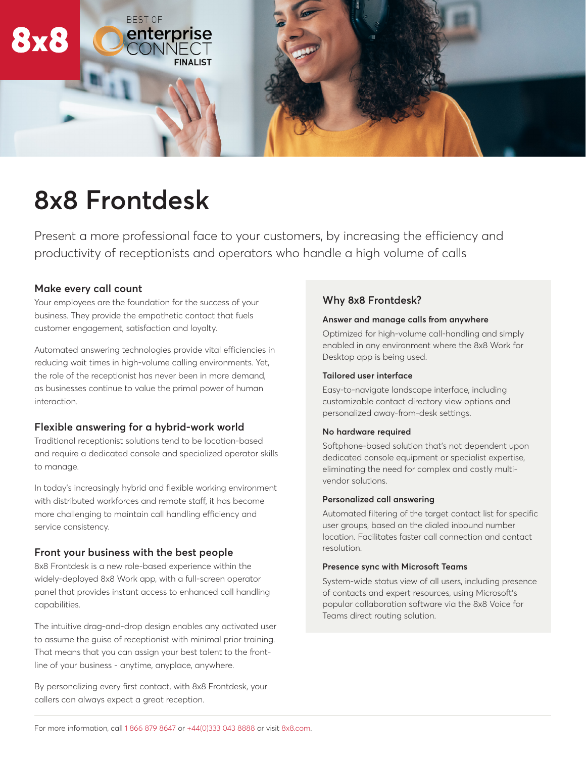

# **8x8 Frontdesk**

Present a more professional face to your customers, by increasing the efficiency and productivity of receptionists and operators who handle a high volume of calls

# **Make every call count**

Your employees are the foundation for the success of your business. They provide the empathetic contact that fuels customer engagement, satisfaction and loyalty.

Automated answering technologies provide vital efficiencies in reducing wait times in high-volume calling environments. Yet, the role of the receptionist has never been in more demand, as businesses continue to value the primal power of human interaction.

# **Flexible answering for a hybrid-work world**

Traditional receptionist solutions tend to be location-based and require a dedicated console and specialized operator skills to manage.

In today's increasingly hybrid and flexible working environment with distributed workforces and remote staff, it has become more challenging to maintain call handling efficiency and service consistency.

# **Front your business with the best people**

8x8 Frontdesk is a new role-based experience within the widely-deployed 8x8 Work app, with a full-screen operator panel that provides instant access to enhanced call handling capabilities.

The intuitive drag-and-drop design enables any activated user to assume the guise of receptionist with minimal prior training. That means that you can assign your best talent to the frontline of your business - anytime, anyplace, anywhere.

By personalizing every first contact, with 8x8 Frontdesk, your callers can always expect a great reception.

# **Why 8x8 Frontdesk?**

#### **Answer and manage calls from anywhere**

Optimized for high-volume call-handling and simply enabled in any environment where the 8x8 Work for Desktop app is being used.

## **Tailored user interface**

Easy-to-navigate landscape interface, including customizable contact directory view options and personalized away-from-desk settings.

## **No hardware required**

Softphone-based solution that's not dependent upon dedicated console equipment or specialist expertise, eliminating the need for complex and costly multivendor solutions.

#### **Personalized call answering**

Automated filtering of the target contact list for specific user groups, based on the dialed inbound number location. Facilitates faster call connection and contact resolution.

#### **Presence sync with Microsoft Teams**

System-wide status view of all users, including presence of contacts and expert resources, using Microsoft's popular collaboration software via the 8x8 Voice for Teams direct routing solution.